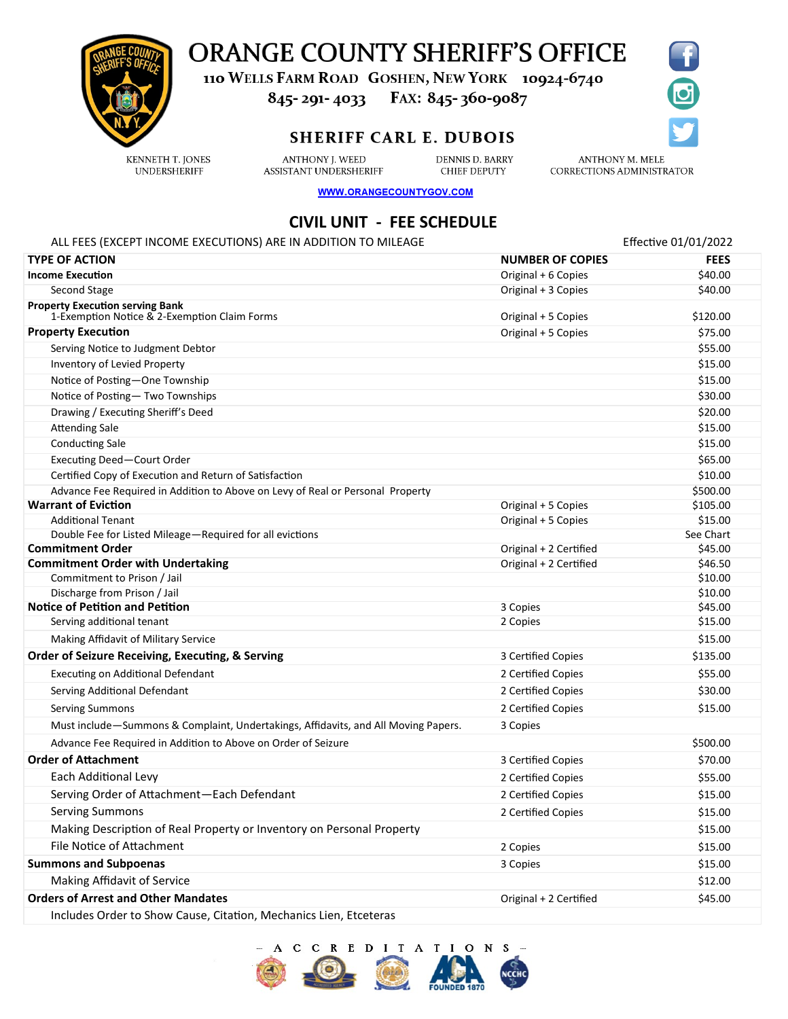

# **ORANGE COUNTY SHERIFF'S OFFICE**

110 WELLS FARM ROAD GOSHEN, NEW YORK 10924-6740

845-291-4033 FAX: 845-360-9087

### **SHERIFF CARL E. DUBOIS**

**KENNETH T. IONES UNDERSHERIFF** 

**ANTHONY I. WEED** ASSISTANT UNDERSHERIFF

**DENNIS D. BARRY CHIEF DEPUTY** 

**ANTHONY M. MELE** CORRECTIONS ADMINISTRATOR

WWW.ORANGECOUNTYGOV.COM

## **CIVIL UNIT - FEE SCHEDULE**

#### ALL FEES (EXCEPT INCOME EXECUTIONS) ARE IN ADDITION TO MILEAGE Exercise that the state of the effective 01/01/2022 **TYPE OF ACTION NUMBER OF COPIES FEES Income Execution Community Contract Community Community Community Community Community Community Community Community Community Community Community Community Community Community Community Community Community Community Com** Second Stage Second Stage Second Stage Second Stage Second Stage Second Stage Second Stage Second Stage Second Stage Second Stage Second Stage Second Stage Second Stage Second Stage Second Stage Second Stage Second Stage S **Property Execution serving Bank** 1-Exemption Notice & 2-Exemption Claim Forms Original + 5 Copies \$120.00 **Property Execution**  $\sim$  \$75.00 Serving Notice to Judgment Debtor  $$55.00$ Inventory of Levied Property \$15.00 Notice of Posting—One Township  $$15.00$ Notice of Posting— Two Townships  $$30.00$ Drawing / Executing Sheriff's Deed \$20.00 Attending Sale \$15.00 Conducting Sale \$15.00 Executing Deed—Court Order \$65.00 Certified Copy of Execution and Return of Satisfaction  $$10.00$ Advance Fee Required in Addition to Above on Levy of Real or Personal Property New States of New 1980.000 Advance Fee Required in Addition to Above on Levy of Real or Personal Property **Warrant of Eviction**  $\bullet$  \$105.00 Additional Tenant **Additional Tenant** \$15.00 Double Fee for Listed Mileage—Required for all evictions See Chart Communications See Chart **Commitment Order** S45.00 **Commitment Order with Undertaking The Commitment Order with Undertaking Commitment Order with Undertaking S46.50** Commitment to Prison / Jail \$10.00 Discharge from Prison / Jail \$10.00 **Notice of Petition and Petition 3 Copies 545.00** Serving additional tenant 2 Copies \$15.00 Making Affidavit of Military Service  $$15.00$ **Order of Seizure Receiving, Executing, & Serving 3 Certified Copies 3 Certified Copies** \$135.00 Executing on Additional Defendant 2 Certified Copies \$55.00 Serving Additional Defendant 2 Certified Copies \$30.00 Serving Summons 2 Certified Copies \$15.00 Must include—Summons & Complaint, Undertakings, Affidavits, and All Moving Papers. 3 Copies Advance Fee Required in Addition to Above on Order of Seizure \$500.000 \$500.000 \$500.00 **Order of Attachment** 3 Certified Copies \$70.00 Each Additional Levy 2 Certified Copies \$55.00 Serving Order of Attachment—Each Defendant 2 Certified Copies \$15.00 Serving Summons 2 Certified Copies \$15.00 Making Description of Real Property or Inventory on Personal Property **1998** Making Description of Real Property or Inventory on Personal Property File Notice of Attachment 2 Copies \$15.00 **Summons and Subpoenas 3 Copies 3 Copies 3 Copies 3 Copies 3 Copies 3 Copies 3 Copies 3 Copies 3 Copies 3 Copies 3 Copies 3 Copies 3 Copies 3 Copies 4 Copies 4 Copies 4 Copies 4 Copies** Making Affidavit of Service \$12.00 **Orders of Arrest and Other Mandates Calcular 345.00 Original + 2 Certified** \$45.00

Includes Order to Show Cause, Citation, Mechanics Lien, Etceteras